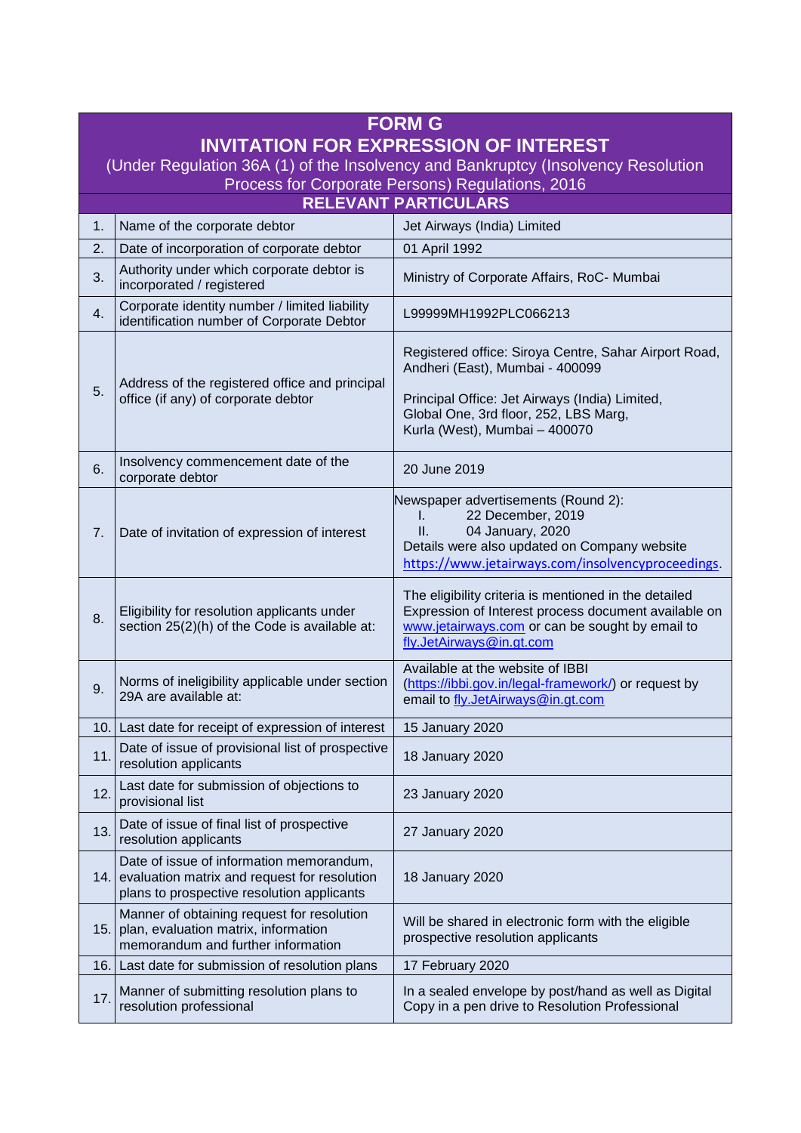| <b>FORM G</b>                                                                     |                                                                                                                                            |                                                                                                                                                                                                                      |  |
|-----------------------------------------------------------------------------------|--------------------------------------------------------------------------------------------------------------------------------------------|----------------------------------------------------------------------------------------------------------------------------------------------------------------------------------------------------------------------|--|
| <b>INVITATION FOR EXPRESSION OF INTEREST</b>                                      |                                                                                                                                            |                                                                                                                                                                                                                      |  |
| (Under Regulation 36A (1) of the Insolvency and Bankruptcy (Insolvency Resolution |                                                                                                                                            |                                                                                                                                                                                                                      |  |
| Process for Corporate Persons) Regulations, 2016<br><b>RELEVANT PARTICULARS</b>   |                                                                                                                                            |                                                                                                                                                                                                                      |  |
| $\mathbf{1}$ .                                                                    | Name of the corporate debtor                                                                                                               | Jet Airways (India) Limited                                                                                                                                                                                          |  |
| 2.                                                                                | Date of incorporation of corporate debtor                                                                                                  | 01 April 1992                                                                                                                                                                                                        |  |
| 3.                                                                                | Authority under which corporate debtor is<br>incorporated / registered                                                                     | Ministry of Corporate Affairs, RoC- Mumbai                                                                                                                                                                           |  |
| 4.                                                                                | Corporate identity number / limited liability<br>identification number of Corporate Debtor                                                 | L99999MH1992PLC066213                                                                                                                                                                                                |  |
| 5.                                                                                | Address of the registered office and principal<br>office (if any) of corporate debtor                                                      | Registered office: Siroya Centre, Sahar Airport Road,<br>Andheri (East), Mumbai - 400099<br>Principal Office: Jet Airways (India) Limited,<br>Global One, 3rd floor, 252, LBS Marg,<br>Kurla (West), Mumbai - 400070 |  |
| 6.                                                                                | Insolvency commencement date of the<br>corporate debtor                                                                                    | 20 June 2019                                                                                                                                                                                                         |  |
| 7.                                                                                | Date of invitation of expression of interest                                                                                               | Newspaper advertisements (Round 2):<br>22 December, 2019<br>L.<br>04 January, 2020<br>Ш.<br>Details were also updated on Company website<br>https://www.jetairways.com/insolvencyproceedings.                        |  |
| 8.                                                                                | Eligibility for resolution applicants under<br>section 25(2)(h) of the Code is available at:                                               | The eligibility criteria is mentioned in the detailed<br>Expression of Interest process document available on<br>www.jetairways.com or can be sought by email to<br>fly.JetAirways@in.gt.com                         |  |
| 9.                                                                                | Norms of ineligibility applicable under section<br>29A are available at:                                                                   | Available at the website of IBBI<br>(https://ibbi.gov.in/legal-framework/) or request by<br>email to fly.JetAirways@in.gt.com                                                                                        |  |
| 10.                                                                               | Last date for receipt of expression of interest                                                                                            | 15 January 2020                                                                                                                                                                                                      |  |
| 11.                                                                               | Date of issue of provisional list of prospective<br>resolution applicants                                                                  | 18 January 2020                                                                                                                                                                                                      |  |
| 12.                                                                               | Last date for submission of objections to<br>provisional list                                                                              | 23 January 2020                                                                                                                                                                                                      |  |
| 13.                                                                               | Date of issue of final list of prospective<br>resolution applicants                                                                        | 27 January 2020                                                                                                                                                                                                      |  |
|                                                                                   | Date of issue of information memorandum,<br>14. evaluation matrix and request for resolution<br>plans to prospective resolution applicants | 18 January 2020                                                                                                                                                                                                      |  |
| 15.                                                                               | Manner of obtaining request for resolution<br>plan, evaluation matrix, information<br>memorandum and further information                   | Will be shared in electronic form with the eligible<br>prospective resolution applicants                                                                                                                             |  |
| 16.                                                                               | Last date for submission of resolution plans                                                                                               | 17 February 2020                                                                                                                                                                                                     |  |
| 17.                                                                               | Manner of submitting resolution plans to<br>resolution professional                                                                        | In a sealed envelope by post/hand as well as Digital<br>Copy in a pen drive to Resolution Professional                                                                                                               |  |